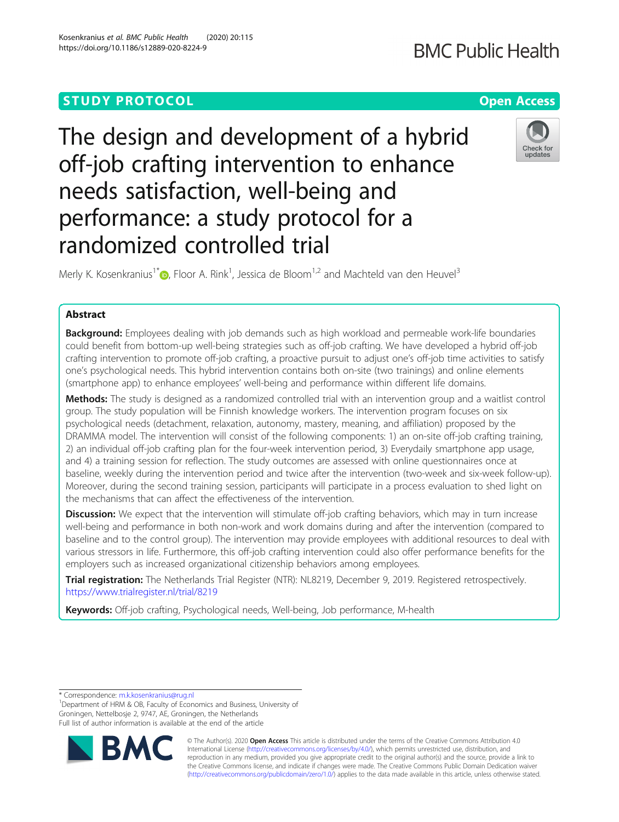# **STUDY PROTOCOL CONSUMING THE RESERVE ACCESS**

# The design and development of a hybrid off-job crafting intervention to enhance needs satisfaction, well-being and performance: a study protocol for a randomized controlled trial

Merly K. Kosenkranius<sup>1\*</sup> (D, Floor A. Rink<sup>1</sup>, Jessica de Bloom<sup>1,2</sup> and Machteld van den Heuvel<sup>3</sup>

# Abstract

Background: Employees dealing with job demands such as high workload and permeable work-life boundaries could benefit from bottom-up well-being strategies such as off-job crafting. We have developed a hybrid off-job crafting intervention to promote off-job crafting, a proactive pursuit to adjust one's off-job time activities to satisfy one's psychological needs. This hybrid intervention contains both on-site (two trainings) and online elements (smartphone app) to enhance employees' well-being and performance within different life domains.

Methods: The study is designed as a randomized controlled trial with an intervention group and a waitlist control group. The study population will be Finnish knowledge workers. The intervention program focuses on six psychological needs (detachment, relaxation, autonomy, mastery, meaning, and affiliation) proposed by the DRAMMA model. The intervention will consist of the following components: 1) an on-site off-job crafting training, 2) an individual off-job crafting plan for the four-week intervention period, 3) Everydaily smartphone app usage, and 4) a training session for reflection. The study outcomes are assessed with online questionnaires once at baseline, weekly during the intervention period and twice after the intervention (two-week and six-week follow-up). Moreover, during the second training session, participants will participate in a process evaluation to shed light on the mechanisms that can affect the effectiveness of the intervention.

Discussion: We expect that the intervention will stimulate off-job crafting behaviors, which may in turn increase well-being and performance in both non-work and work domains during and after the intervention (compared to baseline and to the control group). The intervention may provide employees with additional resources to deal with various stressors in life. Furthermore, this off-job crafting intervention could also offer performance benefits for the employers such as increased organizational citizenship behaviors among employees.

Trial registration: The Netherlands Trial Register (NTR): NL8219, December 9, 2019. Registered retrospectively. <https://www.trialregister.nl/trial/8219>

Keywords: Off-job crafting, Psychological needs, Well-being, Job performance, M-health

\* Correspondence: [m.k.kosenkranius@rug.nl](mailto:m.k.kosenkranius@rug.nl) <sup>1</sup>

<sup>1</sup>Department of HRM & OB, Faculty of Economics and Business, University of Groningen, Nettelbosje 2, 9747, AE, Groningen, the Netherlands Full list of author information is available at the end of the article

> © The Author(s). 2020 **Open Access** This article is distributed under the terms of the Creative Commons Attribution 4.0 International License [\(http://creativecommons.org/licenses/by/4.0/](http://creativecommons.org/licenses/by/4.0/)), which permits unrestricted use, distribution, and reproduction in any medium, provided you give appropriate credit to the original author(s) and the source, provide a link to the Creative Commons license, and indicate if changes were made. The Creative Commons Public Domain Dedication waiver [\(http://creativecommons.org/publicdomain/zero/1.0/](http://creativecommons.org/publicdomain/zero/1.0/)) applies to the data made available in this article, unless otherwise stated.



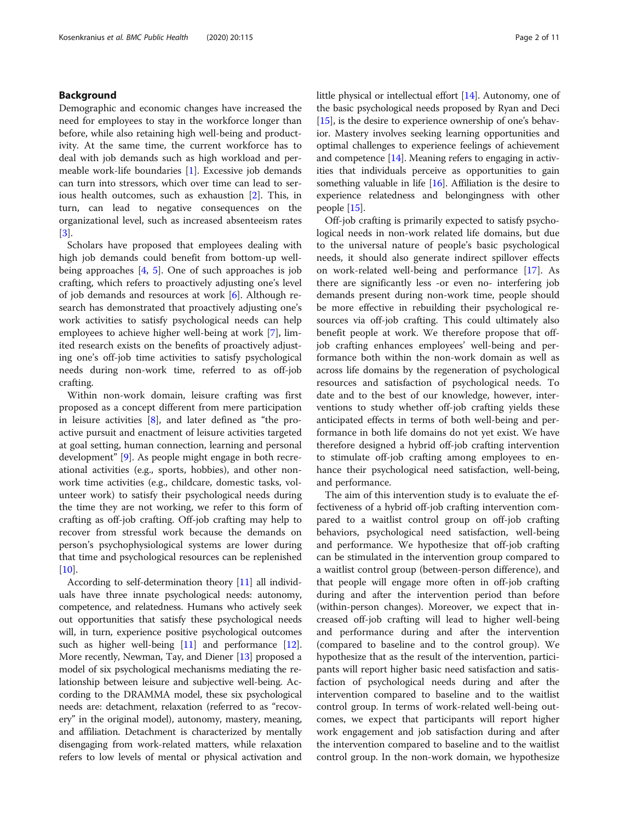# Background

Demographic and economic changes have increased the need for employees to stay in the workforce longer than before, while also retaining high well-being and productivity. At the same time, the current workforce has to deal with job demands such as high workload and permeable work-life boundaries [[1\]](#page-9-0). Excessive job demands can turn into stressors, which over time can lead to serious health outcomes, such as exhaustion [[2\]](#page-9-0). This, in turn, can lead to negative consequences on the organizational level, such as increased absenteeism rates [[3\]](#page-9-0).

Scholars have proposed that employees dealing with high job demands could benefit from bottom-up wellbeing approaches  $[4, 5]$  $[4, 5]$  $[4, 5]$  $[4, 5]$ . One of such approaches is job crafting, which refers to proactively adjusting one's level of job demands and resources at work [\[6](#page-9-0)]. Although research has demonstrated that proactively adjusting one's work activities to satisfy psychological needs can help employees to achieve higher well-being at work [\[7](#page-9-0)], limited research exists on the benefits of proactively adjusting one's off-job time activities to satisfy psychological needs during non-work time, referred to as off-job crafting.

Within non-work domain, leisure crafting was first proposed as a concept different from mere participation in leisure activities [[8\]](#page-9-0), and later defined as "the proactive pursuit and enactment of leisure activities targeted at goal setting, human connection, learning and personal development" [[9\]](#page-9-0). As people might engage in both recreational activities (e.g., sports, hobbies), and other nonwork time activities (e.g., childcare, domestic tasks, volunteer work) to satisfy their psychological needs during the time they are not working, we refer to this form of crafting as off-job crafting. Off-job crafting may help to recover from stressful work because the demands on person's psychophysiological systems are lower during that time and psychological resources can be replenished  $[10]$  $[10]$ .

According to self-determination theory [[11](#page-9-0)] all individuals have three innate psychological needs: autonomy, competence, and relatedness. Humans who actively seek out opportunities that satisfy these psychological needs will, in turn, experience positive psychological outcomes such as higher well-being [[11](#page-9-0)] and performance [[12](#page-9-0)]. More recently, Newman, Tay, and Diener [\[13](#page-9-0)] proposed a model of six psychological mechanisms mediating the relationship between leisure and subjective well-being. According to the DRAMMA model, these six psychological needs are: detachment, relaxation (referred to as "recovery" in the original model), autonomy, mastery, meaning, and affiliation. Detachment is characterized by mentally disengaging from work-related matters, while relaxation refers to low levels of mental or physical activation and little physical or intellectual effort [\[14\]](#page-9-0). Autonomy, one of the basic psychological needs proposed by Ryan and Deci [[15](#page-9-0)], is the desire to experience ownership of one's behavior. Mastery involves seeking learning opportunities and optimal challenges to experience feelings of achievement and competence [\[14\]](#page-9-0). Meaning refers to engaging in activities that individuals perceive as opportunities to gain something valuable in life [[16\]](#page-9-0). Affiliation is the desire to experience relatedness and belongingness with other people [[15](#page-9-0)].

Off-job crafting is primarily expected to satisfy psychological needs in non-work related life domains, but due to the universal nature of people's basic psychological needs, it should also generate indirect spillover effects on work-related well-being and performance [\[17\]](#page-9-0). As there are significantly less -or even no- interfering job demands present during non-work time, people should be more effective in rebuilding their psychological resources via off-job crafting. This could ultimately also benefit people at work. We therefore propose that offjob crafting enhances employees' well-being and performance both within the non-work domain as well as across life domains by the regeneration of psychological resources and satisfaction of psychological needs. To date and to the best of our knowledge, however, interventions to study whether off-job crafting yields these anticipated effects in terms of both well-being and performance in both life domains do not yet exist. We have therefore designed a hybrid off-job crafting intervention to stimulate off-job crafting among employees to enhance their psychological need satisfaction, well-being, and performance.

The aim of this intervention study is to evaluate the effectiveness of a hybrid off-job crafting intervention compared to a waitlist control group on off-job crafting behaviors, psychological need satisfaction, well-being and performance. We hypothesize that off-job crafting can be stimulated in the intervention group compared to a waitlist control group (between-person difference), and that people will engage more often in off-job crafting during and after the intervention period than before (within-person changes). Moreover, we expect that increased off-job crafting will lead to higher well-being and performance during and after the intervention (compared to baseline and to the control group). We hypothesize that as the result of the intervention, participants will report higher basic need satisfaction and satisfaction of psychological needs during and after the intervention compared to baseline and to the waitlist control group. In terms of work-related well-being outcomes, we expect that participants will report higher work engagement and job satisfaction during and after the intervention compared to baseline and to the waitlist control group. In the non-work domain, we hypothesize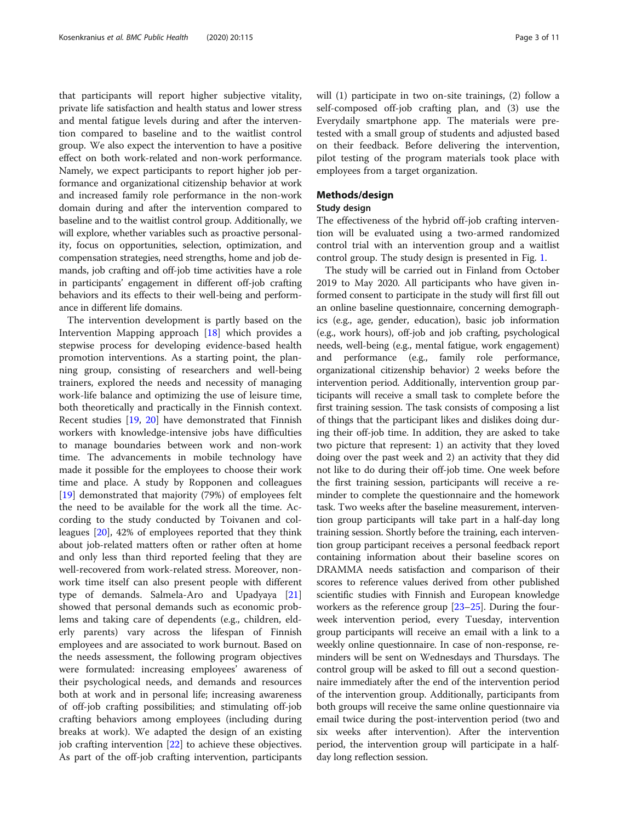that participants will report higher subjective vitality, private life satisfaction and health status and lower stress and mental fatigue levels during and after the intervention compared to baseline and to the waitlist control group. We also expect the intervention to have a positive effect on both work-related and non-work performance. Namely, we expect participants to report higher job performance and organizational citizenship behavior at work and increased family role performance in the non-work domain during and after the intervention compared to baseline and to the waitlist control group. Additionally, we will explore, whether variables such as proactive personality, focus on opportunities, selection, optimization, and compensation strategies, need strengths, home and job demands, job crafting and off-job time activities have a role in participants' engagement in different off-job crafting behaviors and its effects to their well-being and performance in different life domains.

The intervention development is partly based on the Intervention Mapping approach [[18](#page-9-0)] which provides a stepwise process for developing evidence-based health promotion interventions. As a starting point, the planning group, consisting of researchers and well-being trainers, explored the needs and necessity of managing work-life balance and optimizing the use of leisure time, both theoretically and practically in the Finnish context. Recent studies [\[19,](#page-9-0) [20](#page-9-0)] have demonstrated that Finnish workers with knowledge-intensive jobs have difficulties to manage boundaries between work and non-work time. The advancements in mobile technology have made it possible for the employees to choose their work time and place. A study by Ropponen and colleagues [[19\]](#page-9-0) demonstrated that majority (79%) of employees felt the need to be available for the work all the time. According to the study conducted by Toivanen and colleagues [\[20\]](#page-9-0), 42% of employees reported that they think about job-related matters often or rather often at home and only less than third reported feeling that they are well-recovered from work-related stress. Moreover, nonwork time itself can also present people with different type of demands. Salmela-Aro and Upadyaya [[21](#page-9-0)] showed that personal demands such as economic problems and taking care of dependents (e.g., children, elderly parents) vary across the lifespan of Finnish employees and are associated to work burnout. Based on the needs assessment, the following program objectives were formulated: increasing employees' awareness of their psychological needs, and demands and resources both at work and in personal life; increasing awareness of off-job crafting possibilities; and stimulating off-job crafting behaviors among employees (including during breaks at work). We adapted the design of an existing job crafting intervention [\[22](#page-9-0)] to achieve these objectives. As part of the off-job crafting intervention, participants will (1) participate in two on-site trainings, (2) follow a self-composed off-job crafting plan, and (3) use the Everydaily smartphone app. The materials were pretested with a small group of students and adjusted based on their feedback. Before delivering the intervention, pilot testing of the program materials took place with employees from a target organization.

# Methods/design

#### Study design

The effectiveness of the hybrid off-job crafting intervention will be evaluated using a two-armed randomized control trial with an intervention group and a waitlist control group. The study design is presented in Fig. [1](#page-3-0).

The study will be carried out in Finland from October 2019 to May 2020. All participants who have given informed consent to participate in the study will first fill out an online baseline questionnaire, concerning demographics (e.g., age, gender, education), basic job information (e.g., work hours), off-job and job crafting, psychological needs, well-being (e.g., mental fatigue, work engagement) and performance (e.g., family role performance, organizational citizenship behavior) 2 weeks before the intervention period. Additionally, intervention group participants will receive a small task to complete before the first training session. The task consists of composing a list of things that the participant likes and dislikes doing during their off-job time. In addition, they are asked to take two picture that represent: 1) an activity that they loved doing over the past week and 2) an activity that they did not like to do during their off-job time. One week before the first training session, participants will receive a reminder to complete the questionnaire and the homework task. Two weeks after the baseline measurement, intervention group participants will take part in a half-day long training session. Shortly before the training, each intervention group participant receives a personal feedback report containing information about their baseline scores on DRAMMA needs satisfaction and comparison of their scores to reference values derived from other published scientific studies with Finnish and European knowledge workers as the reference group [\[23](#page-9-0)–[25](#page-9-0)]. During the fourweek intervention period, every Tuesday, intervention group participants will receive an email with a link to a weekly online questionnaire. In case of non-response, reminders will be sent on Wednesdays and Thursdays. The control group will be asked to fill out a second questionnaire immediately after the end of the intervention period of the intervention group. Additionally, participants from both groups will receive the same online questionnaire via email twice during the post-intervention period (two and six weeks after intervention). After the intervention period, the intervention group will participate in a halfday long reflection session.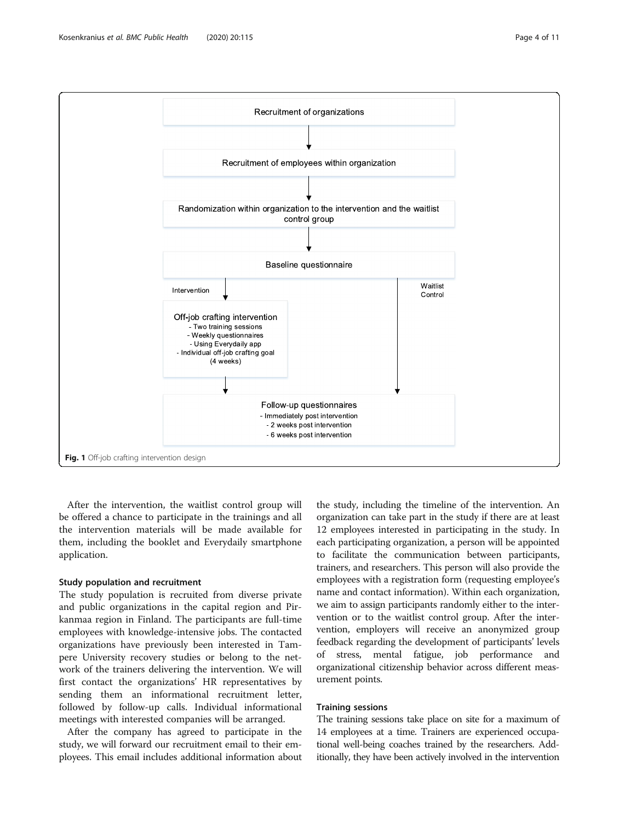<span id="page-3-0"></span>

After the intervention, the waitlist control group will be offered a chance to participate in the trainings and all the intervention materials will be made available for them, including the booklet and Everydaily smartphone application.

#### Study population and recruitment

The study population is recruited from diverse private and public organizations in the capital region and Pirkanmaa region in Finland. The participants are full-time employees with knowledge-intensive jobs. The contacted organizations have previously been interested in Tampere University recovery studies or belong to the network of the trainers delivering the intervention. We will first contact the organizations' HR representatives by sending them an informational recruitment letter, followed by follow-up calls. Individual informational meetings with interested companies will be arranged.

After the company has agreed to participate in the study, we will forward our recruitment email to their employees. This email includes additional information about the study, including the timeline of the intervention. An organization can take part in the study if there are at least 12 employees interested in participating in the study. In each participating organization, a person will be appointed to facilitate the communication between participants, trainers, and researchers. This person will also provide the employees with a registration form (requesting employee's name and contact information). Within each organization, we aim to assign participants randomly either to the intervention or to the waitlist control group. After the intervention, employers will receive an anonymized group feedback regarding the development of participants' levels of stress, mental fatigue, job performance and organizational citizenship behavior across different measurement points.

# Training sessions

The training sessions take place on site for a maximum of 14 employees at a time. Trainers are experienced occupational well-being coaches trained by the researchers. Additionally, they have been actively involved in the intervention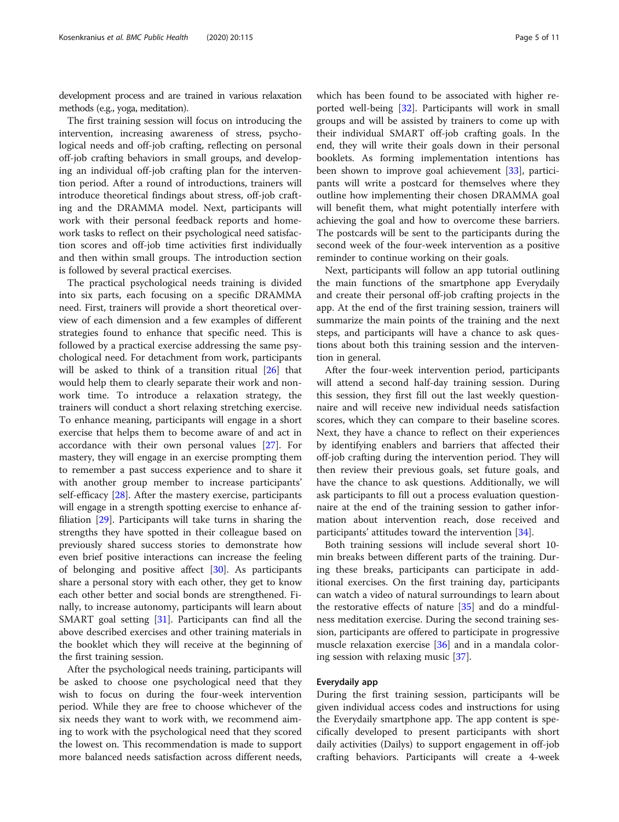development process and are trained in various relaxation methods (e.g., yoga, meditation).

The first training session will focus on introducing the intervention, increasing awareness of stress, psychological needs and off-job crafting, reflecting on personal off-job crafting behaviors in small groups, and developing an individual off-job crafting plan for the intervention period. After a round of introductions, trainers will introduce theoretical findings about stress, off-job crafting and the DRAMMA model. Next, participants will work with their personal feedback reports and homework tasks to reflect on their psychological need satisfaction scores and off-job time activities first individually and then within small groups. The introduction section is followed by several practical exercises.

The practical psychological needs training is divided into six parts, each focusing on a specific DRAMMA need. First, trainers will provide a short theoretical overview of each dimension and a few examples of different strategies found to enhance that specific need. This is followed by a practical exercise addressing the same psychological need. For detachment from work, participants will be asked to think of a transition ritual [\[26](#page-10-0)] that would help them to clearly separate their work and nonwork time. To introduce a relaxation strategy, the trainers will conduct a short relaxing stretching exercise. To enhance meaning, participants will engage in a short exercise that helps them to become aware of and act in accordance with their own personal values [[27](#page-10-0)]. For mastery, they will engage in an exercise prompting them to remember a past success experience and to share it with another group member to increase participants' self-efficacy [[28](#page-10-0)]. After the mastery exercise, participants will engage in a strength spotting exercise to enhance affiliation [\[29\]](#page-10-0). Participants will take turns in sharing the strengths they have spotted in their colleague based on previously shared success stories to demonstrate how even brief positive interactions can increase the feeling of belonging and positive affect [\[30\]](#page-10-0). As participants share a personal story with each other, they get to know each other better and social bonds are strengthened. Finally, to increase autonomy, participants will learn about SMART goal setting [\[31](#page-10-0)]. Participants can find all the above described exercises and other training materials in the booklet which they will receive at the beginning of the first training session.

After the psychological needs training, participants will be asked to choose one psychological need that they wish to focus on during the four-week intervention period. While they are free to choose whichever of the six needs they want to work with, we recommend aiming to work with the psychological need that they scored the lowest on. This recommendation is made to support more balanced needs satisfaction across different needs, which has been found to be associated with higher reported well-being [\[32](#page-10-0)]. Participants will work in small groups and will be assisted by trainers to come up with their individual SMART off-job crafting goals. In the end, they will write their goals down in their personal booklets. As forming implementation intentions has been shown to improve goal achievement [[33](#page-10-0)], participants will write a postcard for themselves where they outline how implementing their chosen DRAMMA goal will benefit them, what might potentially interfere with achieving the goal and how to overcome these barriers. The postcards will be sent to the participants during the second week of the four-week intervention as a positive reminder to continue working on their goals.

Next, participants will follow an app tutorial outlining the main functions of the smartphone app Everydaily and create their personal off-job crafting projects in the app. At the end of the first training session, trainers will summarize the main points of the training and the next steps, and participants will have a chance to ask questions about both this training session and the intervention in general.

After the four-week intervention period, participants will attend a second half-day training session. During this session, they first fill out the last weekly questionnaire and will receive new individual needs satisfaction scores, which they can compare to their baseline scores. Next, they have a chance to reflect on their experiences by identifying enablers and barriers that affected their off-job crafting during the intervention period. They will then review their previous goals, set future goals, and have the chance to ask questions. Additionally, we will ask participants to fill out a process evaluation questionnaire at the end of the training session to gather information about intervention reach, dose received and participants' attitudes toward the intervention [[34\]](#page-10-0).

Both training sessions will include several short 10 min breaks between different parts of the training. During these breaks, participants can participate in additional exercises. On the first training day, participants can watch a video of natural surroundings to learn about the restorative effects of nature [[35\]](#page-10-0) and do a mindfulness meditation exercise. During the second training session, participants are offered to participate in progressive muscle relaxation exercise [[36](#page-10-0)] and in a mandala coloring session with relaxing music [[37\]](#page-10-0).

#### Everydaily app

During the first training session, participants will be given individual access codes and instructions for using the Everydaily smartphone app. The app content is specifically developed to present participants with short daily activities (Dailys) to support engagement in off-job crafting behaviors. Participants will create a 4-week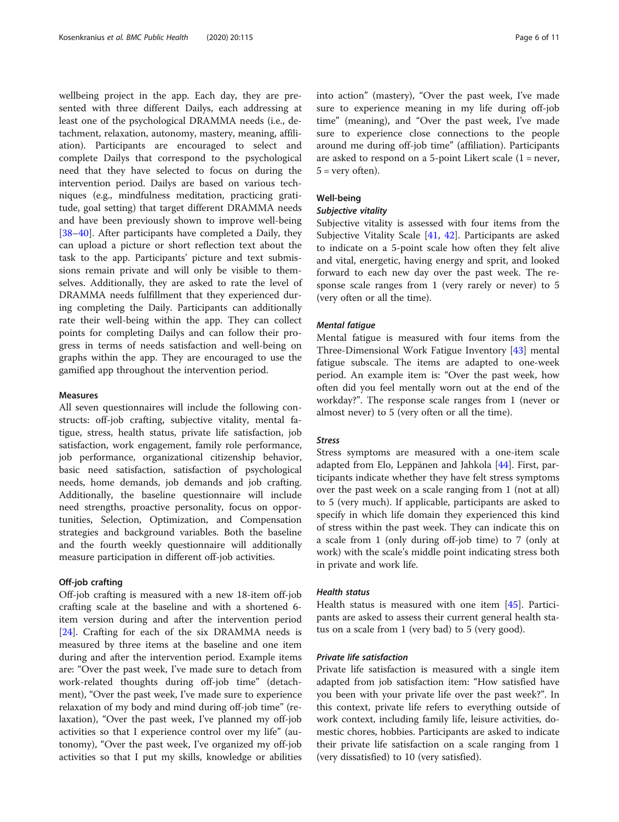wellbeing project in the app. Each day, they are presented with three different Dailys, each addressing at least one of the psychological DRAMMA needs (i.e., detachment, relaxation, autonomy, mastery, meaning, affiliation). Participants are encouraged to select and complete Dailys that correspond to the psychological need that they have selected to focus on during the intervention period. Dailys are based on various techniques (e.g., mindfulness meditation, practicing gratitude, goal setting) that target different DRAMMA needs and have been previously shown to improve well-being [[38](#page-10-0)–[40](#page-10-0)]. After participants have completed a Daily, they can upload a picture or short reflection text about the task to the app. Participants' picture and text submissions remain private and will only be visible to themselves. Additionally, they are asked to rate the level of DRAMMA needs fulfillment that they experienced during completing the Daily. Participants can additionally rate their well-being within the app. They can collect points for completing Dailys and can follow their progress in terms of needs satisfaction and well-being on graphs within the app. They are encouraged to use the gamified app throughout the intervention period.

#### Measures

All seven questionnaires will include the following constructs: off-job crafting, subjective vitality, mental fatigue, stress, health status, private life satisfaction, job satisfaction, work engagement, family role performance, job performance, organizational citizenship behavior, basic need satisfaction, satisfaction of psychological needs, home demands, job demands and job crafting. Additionally, the baseline questionnaire will include need strengths, proactive personality, focus on opportunities, Selection, Optimization, and Compensation strategies and background variables. Both the baseline and the fourth weekly questionnaire will additionally measure participation in different off-job activities.

# Off-job crafting

Off-job crafting is measured with a new 18-item off-job crafting scale at the baseline and with a shortened 6 item version during and after the intervention period [[24\]](#page-9-0). Crafting for each of the six DRAMMA needs is measured by three items at the baseline and one item during and after the intervention period. Example items are: "Over the past week, I've made sure to detach from work-related thoughts during off-job time" (detachment), "Over the past week, I've made sure to experience relaxation of my body and mind during off-job time" (relaxation), "Over the past week, I've planned my off-job activities so that I experience control over my life" (autonomy), "Over the past week, I've organized my off-job activities so that I put my skills, knowledge or abilities into action" (mastery), "Over the past week, I've made sure to experience meaning in my life during off-job time" (meaning), and "Over the past week, I've made sure to experience close connections to the people around me during off-job time" (affiliation). Participants are asked to respond on a 5-point Likert scale (1 = never,  $5 = \text{very often}$ ).

#### Well-being

#### Subjective vitality

Subjective vitality is assessed with four items from the Subjective Vitality Scale [[41,](#page-10-0) [42\]](#page-10-0). Participants are asked to indicate on a 5-point scale how often they felt alive and vital, energetic, having energy and sprit, and looked forward to each new day over the past week. The response scale ranges from 1 (very rarely or never) to 5 (very often or all the time).

#### Mental fatigue

Mental fatigue is measured with four items from the Three-Dimensional Work Fatigue Inventory [[43\]](#page-10-0) mental fatigue subscale. The items are adapted to one-week period. An example item is: "Over the past week, how often did you feel mentally worn out at the end of the workday?". The response scale ranges from 1 (never or almost never) to 5 (very often or all the time).

#### Stress

Stress symptoms are measured with a one-item scale adapted from Elo, Leppänen and Jahkola [[44](#page-10-0)]. First, participants indicate whether they have felt stress symptoms over the past week on a scale ranging from 1 (not at all) to 5 (very much). If applicable, participants are asked to specify in which life domain they experienced this kind of stress within the past week. They can indicate this on a scale from 1 (only during off-job time) to 7 (only at work) with the scale's middle point indicating stress both in private and work life.

#### Health status

Health status is measured with one item [[45\]](#page-10-0). Participants are asked to assess their current general health status on a scale from 1 (very bad) to 5 (very good).

# Private life satisfaction

Private life satisfaction is measured with a single item adapted from job satisfaction item: "How satisfied have you been with your private life over the past week?". In this context, private life refers to everything outside of work context, including family life, leisure activities, domestic chores, hobbies. Participants are asked to indicate their private life satisfaction on a scale ranging from 1 (very dissatisfied) to 10 (very satisfied).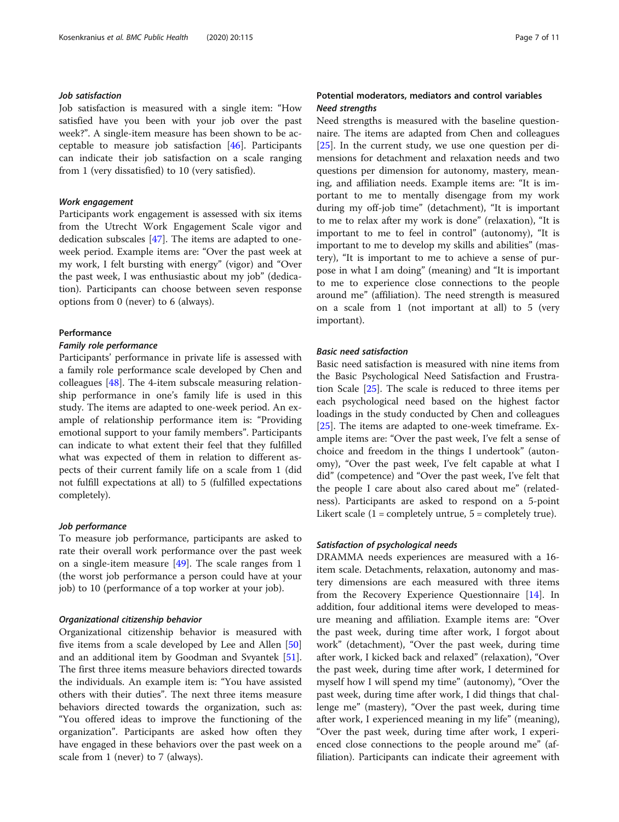# Job satisfaction

Job satisfaction is measured with a single item: "How satisfied have you been with your job over the past week?". A single-item measure has been shown to be acceptable to measure job satisfaction [[46](#page-10-0)]. Participants can indicate their job satisfaction on a scale ranging from 1 (very dissatisfied) to 10 (very satisfied).

#### Work engagement

Participants work engagement is assessed with six items from the Utrecht Work Engagement Scale vigor and dedication subscales [\[47](#page-10-0)]. The items are adapted to oneweek period. Example items are: "Over the past week at my work, I felt bursting with energy" (vigor) and "Over the past week, I was enthusiastic about my job" (dedication). Participants can choose between seven response options from 0 (never) to 6 (always).

#### **Performance**

#### Family role performance

Participants' performance in private life is assessed with a family role performance scale developed by Chen and colleagues  $[48]$  $[48]$ . The 4-item subscale measuring relationship performance in one's family life is used in this study. The items are adapted to one-week period. An example of relationship performance item is: "Providing emotional support to your family members". Participants can indicate to what extent their feel that they fulfilled what was expected of them in relation to different aspects of their current family life on a scale from 1 (did not fulfill expectations at all) to 5 (fulfilled expectations completely).

#### Job performance

To measure job performance, participants are asked to rate their overall work performance over the past week on a single-item measure  $[49]$  $[49]$ . The scale ranges from 1 (the worst job performance a person could have at your job) to 10 (performance of a top worker at your job).

#### Organizational citizenship behavior

Organizational citizenship behavior is measured with five items from a scale developed by Lee and Allen [[50](#page-10-0)] and an additional item by Goodman and Svyantek [\[51](#page-10-0)]. The first three items measure behaviors directed towards the individuals. An example item is: "You have assisted others with their duties". The next three items measure behaviors directed towards the organization, such as: "You offered ideas to improve the functioning of the organization". Participants are asked how often they have engaged in these behaviors over the past week on a scale from 1 (never) to 7 (always).

# Potential moderators, mediators and control variables Need strengths

Need strengths is measured with the baseline questionnaire. The items are adapted from Chen and colleagues [[25\]](#page-9-0). In the current study, we use one question per dimensions for detachment and relaxation needs and two questions per dimension for autonomy, mastery, meaning, and affiliation needs. Example items are: "It is important to me to mentally disengage from my work during my off-job time" (detachment), "It is important to me to relax after my work is done" (relaxation), "It is important to me to feel in control" (autonomy), "It is important to me to develop my skills and abilities" (mastery), "It is important to me to achieve a sense of purpose in what I am doing" (meaning) and "It is important to me to experience close connections to the people around me" (affiliation). The need strength is measured on a scale from 1 (not important at all) to 5 (very important).

#### Basic need satisfaction

Basic need satisfaction is measured with nine items from the Basic Psychological Need Satisfaction and Frustration Scale [[25\]](#page-9-0). The scale is reduced to three items per each psychological need based on the highest factor loadings in the study conducted by Chen and colleagues [[25\]](#page-9-0). The items are adapted to one-week timeframe. Example items are: "Over the past week, I've felt a sense of choice and freedom in the things I undertook" (autonomy), "Over the past week, I've felt capable at what I did" (competence) and "Over the past week, I've felt that the people I care about also cared about me" (relatedness). Participants are asked to respond on a 5-point Likert scale  $(1 = \text{completely}$  untrue,  $5 = \text{completely}$  true).

# Satisfaction of psychological needs

DRAMMA needs experiences are measured with a 16 item scale. Detachments, relaxation, autonomy and mastery dimensions are each measured with three items from the Recovery Experience Questionnaire [[14\]](#page-9-0). In addition, four additional items were developed to measure meaning and affiliation. Example items are: "Over the past week, during time after work, I forgot about work" (detachment), "Over the past week, during time after work, I kicked back and relaxed" (relaxation), "Over the past week, during time after work, I determined for myself how I will spend my time" (autonomy), "Over the past week, during time after work, I did things that challenge me" (mastery), "Over the past week, during time after work, I experienced meaning in my life" (meaning), "Over the past week, during time after work, I experienced close connections to the people around me" (affiliation). Participants can indicate their agreement with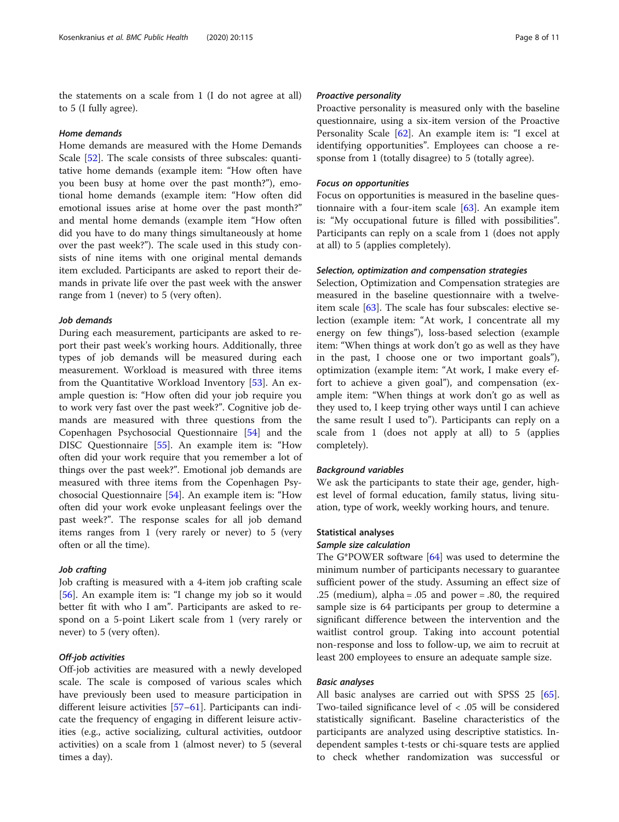the statements on a scale from 1 (I do not agree at all) to 5 (I fully agree).

#### Home demands

Home demands are measured with the Home Demands Scale [\[52](#page-10-0)]. The scale consists of three subscales: quantitative home demands (example item: "How often have you been busy at home over the past month?"), emotional home demands (example item: "How often did emotional issues arise at home over the past month?" and mental home demands (example item "How often did you have to do many things simultaneously at home over the past week?"). The scale used in this study consists of nine items with one original mental demands item excluded. Participants are asked to report their demands in private life over the past week with the answer range from 1 (never) to 5 (very often).

#### Job demands

During each measurement, participants are asked to report their past week's working hours. Additionally, three types of job demands will be measured during each measurement. Workload is measured with three items from the Quantitative Workload Inventory [[53](#page-10-0)]. An example question is: "How often did your job require you to work very fast over the past week?". Cognitive job demands are measured with three questions from the Copenhagen Psychosocial Questionnaire [[54\]](#page-10-0) and the DISC Questionnaire [\[55\]](#page-10-0). An example item is: "How often did your work require that you remember a lot of things over the past week?". Emotional job demands are measured with three items from the Copenhagen Psychosocial Questionnaire [\[54](#page-10-0)]. An example item is: "How often did your work evoke unpleasant feelings over the past week?". The response scales for all job demand items ranges from 1 (very rarely or never) to 5 (very often or all the time).

# Job crafting

Job crafting is measured with a 4-item job crafting scale [[56\]](#page-10-0). An example item is: "I change my job so it would better fit with who I am". Participants are asked to respond on a 5-point Likert scale from 1 (very rarely or never) to 5 (very often).

# Off-job activities

Off-job activities are measured with a newly developed scale. The scale is composed of various scales which have previously been used to measure participation in different leisure activities [\[57](#page-10-0)–[61\]](#page-10-0). Participants can indicate the frequency of engaging in different leisure activities (e.g., active socializing, cultural activities, outdoor activities) on a scale from 1 (almost never) to 5 (several times a day).

#### Proactive personality

Proactive personality is measured only with the baseline questionnaire, using a six-item version of the Proactive Personality Scale [[62\]](#page-10-0). An example item is: "I excel at identifying opportunities". Employees can choose a response from 1 (totally disagree) to 5 (totally agree).

#### Focus on opportunities

Focus on opportunities is measured in the baseline questionnaire with a four-item scale [\[63](#page-10-0)]. An example item is: "My occupational future is filled with possibilities". Participants can reply on a scale from 1 (does not apply at all) to 5 (applies completely).

#### Selection, optimization and compensation strategies

Selection, Optimization and Compensation strategies are measured in the baseline questionnaire with a twelveitem scale [\[63](#page-10-0)]. The scale has four subscales: elective selection (example item: "At work, I concentrate all my energy on few things"), loss-based selection (example item: "When things at work don't go as well as they have in the past, I choose one or two important goals"), optimization (example item: "At work, I make every effort to achieve a given goal"), and compensation (example item: "When things at work don't go as well as they used to, I keep trying other ways until I can achieve the same result I used to"). Participants can reply on a scale from 1 (does not apply at all) to 5 (applies completely).

#### Background variables

We ask the participants to state their age, gender, highest level of formal education, family status, living situation, type of work, weekly working hours, and tenure.

# Statistical analyses

#### Sample size calculation

The G\*POWER software [\[64](#page-10-0)] was used to determine the minimum number of participants necessary to guarantee sufficient power of the study. Assuming an effect size of .25 (medium), alpha = .05 and power = .80, the required sample size is 64 participants per group to determine a significant difference between the intervention and the waitlist control group. Taking into account potential non-response and loss to follow-up, we aim to recruit at least 200 employees to ensure an adequate sample size.

#### Basic analyses

All basic analyses are carried out with SPSS 25 [\[65](#page-10-0)]. Two-tailed significance level of < .05 will be considered statistically significant. Baseline characteristics of the participants are analyzed using descriptive statistics. Independent samples t-tests or chi-square tests are applied to check whether randomization was successful or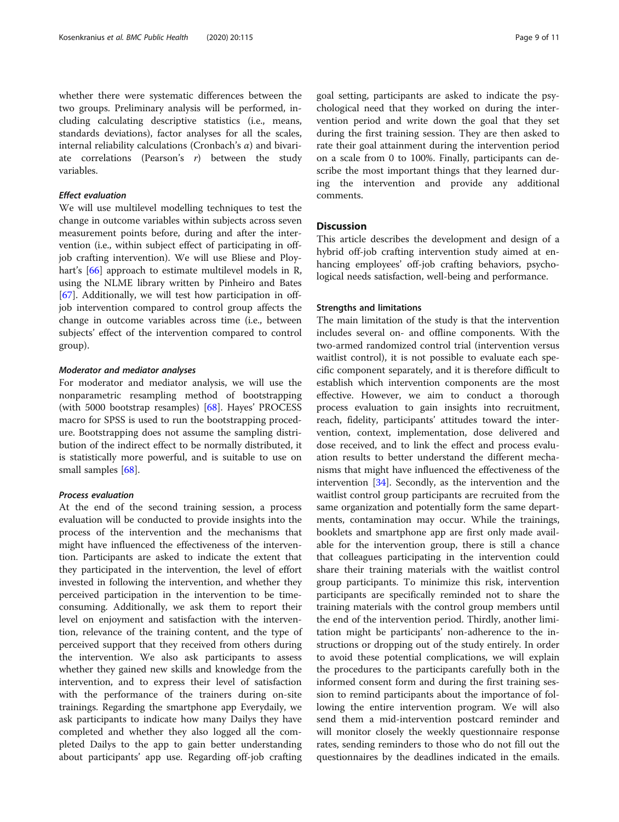whether there were systematic differences between the two groups. Preliminary analysis will be performed, including calculating descriptive statistics (i.e., means, standards deviations), factor analyses for all the scales, internal reliability calculations (Cronbach's  $\alpha$ ) and bivariate correlations (Pearson's  $r$ ) between the study variables.

# Effect evaluation

We will use multilevel modelling techniques to test the change in outcome variables within subjects across seven measurement points before, during and after the intervention (i.e., within subject effect of participating in offjob crafting intervention). We will use Bliese and Ploy-hart's [[66\]](#page-10-0) approach to estimate multilevel models in R, using the NLME library written by Pinheiro and Bates [[67\]](#page-10-0). Additionally, we will test how participation in offjob intervention compared to control group affects the change in outcome variables across time (i.e., between subjects' effect of the intervention compared to control group).

#### Moderator and mediator analyses

For moderator and mediator analysis, we will use the nonparametric resampling method of bootstrapping (with 5000 bootstrap resamples) [\[68](#page-10-0)]. Hayes' PROCESS macro for SPSS is used to run the bootstrapping procedure. Bootstrapping does not assume the sampling distribution of the indirect effect to be normally distributed, it is statistically more powerful, and is suitable to use on small samples [[68](#page-10-0)].

# Process evaluation

At the end of the second training session, a process evaluation will be conducted to provide insights into the process of the intervention and the mechanisms that might have influenced the effectiveness of the intervention. Participants are asked to indicate the extent that they participated in the intervention, the level of effort invested in following the intervention, and whether they perceived participation in the intervention to be timeconsuming. Additionally, we ask them to report their level on enjoyment and satisfaction with the intervention, relevance of the training content, and the type of perceived support that they received from others during the intervention. We also ask participants to assess whether they gained new skills and knowledge from the intervention, and to express their level of satisfaction with the performance of the trainers during on-site trainings. Regarding the smartphone app Everydaily, we ask participants to indicate how many Dailys they have completed and whether they also logged all the completed Dailys to the app to gain better understanding about participants' app use. Regarding off-job crafting goal setting, participants are asked to indicate the psychological need that they worked on during the intervention period and write down the goal that they set during the first training session. They are then asked to rate their goal attainment during the intervention period on a scale from 0 to 100%. Finally, participants can describe the most important things that they learned during the intervention and provide any additional comments.

# **Discussion**

This article describes the development and design of a hybrid off-job crafting intervention study aimed at enhancing employees' off-job crafting behaviors, psychological needs satisfaction, well-being and performance.

#### Strengths and limitations

The main limitation of the study is that the intervention includes several on- and offline components. With the two-armed randomized control trial (intervention versus waitlist control), it is not possible to evaluate each specific component separately, and it is therefore difficult to establish which intervention components are the most effective. However, we aim to conduct a thorough process evaluation to gain insights into recruitment, reach, fidelity, participants' attitudes toward the intervention, context, implementation, dose delivered and dose received, and to link the effect and process evaluation results to better understand the different mechanisms that might have influenced the effectiveness of the intervention [[34\]](#page-10-0). Secondly, as the intervention and the waitlist control group participants are recruited from the same organization and potentially form the same departments, contamination may occur. While the trainings, booklets and smartphone app are first only made available for the intervention group, there is still a chance that colleagues participating in the intervention could share their training materials with the waitlist control group participants. To minimize this risk, intervention participants are specifically reminded not to share the training materials with the control group members until the end of the intervention period. Thirdly, another limitation might be participants' non-adherence to the instructions or dropping out of the study entirely. In order to avoid these potential complications, we will explain the procedures to the participants carefully both in the informed consent form and during the first training session to remind participants about the importance of following the entire intervention program. We will also send them a mid-intervention postcard reminder and will monitor closely the weekly questionnaire response rates, sending reminders to those who do not fill out the questionnaires by the deadlines indicated in the emails.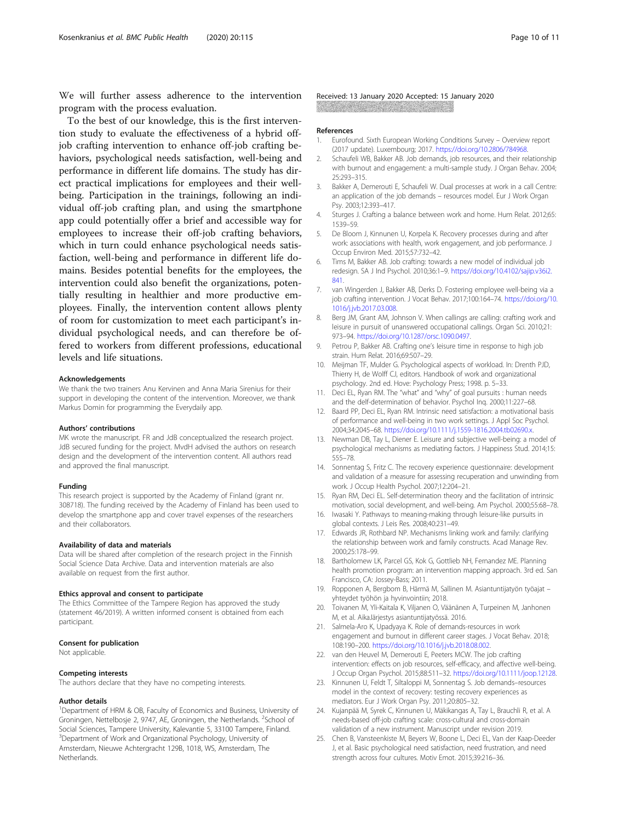<span id="page-9-0"></span>We will further assess adherence to the intervention program with the process evaluation.

To the best of our knowledge, this is the first intervention study to evaluate the effectiveness of a hybrid offjob crafting intervention to enhance off-job crafting behaviors, psychological needs satisfaction, well-being and performance in different life domains. The study has direct practical implications for employees and their wellbeing. Participation in the trainings, following an individual off-job crafting plan, and using the smartphone app could potentially offer a brief and accessible way for employees to increase their off-job crafting behaviors, which in turn could enhance psychological needs satisfaction, well-being and performance in different life domains. Besides potential benefits for the employees, the intervention could also benefit the organizations, potentially resulting in healthier and more productive employees. Finally, the intervention content allows plenty of room for customization to meet each participant's individual psychological needs, and can therefore be offered to workers from different professions, educational levels and life situations.

#### Acknowledgements

We thank the two trainers Anu Kervinen and Anna Maria Sirenius for their support in developing the content of the intervention. Moreover, we thank Markus Domin for programming the Everydaily app.

#### Authors' contributions

MK wrote the manuscript. FR and JdB conceptualized the research project. JdB secured funding for the project. MvdH advised the authors on research design and the development of the intervention content. All authors read and approved the final manuscript.

#### Funding

This research project is supported by the Academy of Finland (grant nr. 308718). The funding received by the Academy of Finland has been used to develop the smartphone app and cover travel expenses of the researchers and their collaborators.

#### Availability of data and materials

Data will be shared after completion of the research project in the Finnish Social Science Data Archive. Data and intervention materials are also available on request from the first author.

#### Ethics approval and consent to participate

The Ethics Committee of the Tampere Region has approved the study (statement 46/2019). A written informed consent is obtained from each participant.

#### Consent for publication

Not applicable.

#### Competing interests

The authors declare that they have no competing interests.

#### Author details

<sup>1</sup>Department of HRM & OB, Faculty of Economics and Business, University of Groningen, Nettelbosje 2, 9747, AE, Groningen, the Netherlands. <sup>2</sup>School of Social Sciences, Tampere University, Kalevantie 5, 33100 Tampere, Finland. <sup>3</sup>Department of Work and Organizational Psychology, University of Amsterdam, Nieuwe Achtergracht 129B, 1018, WS, Amsterdam, The Netherlands.

#### References

- 1. Eurofound. Sixth European Working Conditions Survey Overview report (2017 update). Luxembourg; 2017. <https://doi.org/10.2806/784968>.
- 2. Schaufeli WB, Bakker AB. Job demands, job resources, and their relationship with burnout and engagement: a multi-sample study. J Organ Behav. 2004; 25:293–315.
- 3. Bakker A, Demerouti E, Schaufeli W. Dual processes at work in a call Centre: an application of the job demands – resources model. Eur J Work Organ Psy. 2003;12:393–417.
- 4. Sturges J. Crafting a balance between work and home. Hum Relat. 2012;65: 1539–59.
- 5. De Bloom J, Kinnunen U, Korpela K. Recovery processes during and after work: associations with health, work engagement, and job performance. J Occup Environ Med. 2015;57:732–42.
- 6. Tims M, Bakker AB. Job crafting: towards a new model of individual job redesign. SA J Ind Psychol. 2010;36:1–9. [https://doi.org/10.4102/sajip.v36i2.](https://doi.org/10.4102/sajip.v36i2.841) [841.](https://doi.org/10.4102/sajip.v36i2.841)
- 7. van Wingerden J, Bakker AB, Derks D. Fostering employee well-being via a job crafting intervention. J Vocat Behav. 2017;100:164–74. [https://doi.org/10.](https://doi.org/10.1016/j.jvb.2017.03.008) [1016/j.jvb.2017.03.008](https://doi.org/10.1016/j.jvb.2017.03.008).
- 8. Berg JM, Grant AM, Johnson V. When callings are calling: crafting work and leisure in pursuit of unanswered occupational callings. Organ Sci. 2010;21: 973–94. <https://doi.org/10.1287/orsc.1090.0497>.
- 9. Petrou P, Bakker AB. Crafting one's leisure time in response to high job strain. Hum Relat. 2016;69:507–29.
- 10. Meijman TF, Mulder G. Psychological aspects of workload. In: Drenth PJD, Thierry H, de Wolff CJ, editors. Handbook of work and organizational psychology. 2nd ed. Hove: Psychology Press; 1998. p. 5–33.
- 11. Deci EL, Ryan RM. The "what" and "why" of goal pursuits : human needs and the delf-determination of behavior. Psychol Inq. 2000;11:227–68.
- 12. Baard PP, Deci EL, Ryan RM. Intrinsic need satisfaction: a motivational basis of performance and well-being in two work settings. J Appl Soc Psychol. 2004;34:2045–68. [https://doi.org/10.1111/j.1559-1816.2004.tb02690.x.](https://doi.org/10.1111/j.1559-1816.2004.tb02690.x)
- 13. Newman DB, Tay L, Diener E. Leisure and subjective well-being: a model of psychological mechanisms as mediating factors. J Happiness Stud. 2014;15: 555–78.
- 14. Sonnentag S, Fritz C. The recovery experience questionnaire: development and validation of a measure for assessing recuperation and unwinding from work. J Occup Health Psychol. 2007;12:204–21.
- 15. Ryan RM, Deci EL. Self-determination theory and the facilitation of intrinsic motivation, social development, and well-being. Am Psychol. 2000;55:68–78.
- 16. Iwasaki Y. Pathways to meaning-making through leisure-like pursuits in global contexts. J Leis Res. 2008;40:231–49.
- 17. Edwards JR, Rothbard NP. Mechanisms linking work and family: clarifying the relationship between work and family constructs. Acad Manage Rev. 2000;25:178–99.
- 18. Bartholomew LK, Parcel GS, Kok G, Gottlieb NH, Fernandez ME. Planning health promotion program: an intervention mapping approach. 3rd ed. San Francisco, CA: Jossey-Bass; 2011.
- 19. Ropponen A, Bergbom B, Härmä M, Sallinen M. Asiantuntijatyön työajat yhteydet työhön ja hyvinvointiin; 2018.
- 20. Toivanen M, Yli-Kaitala K, Viljanen O, Väänänen A, Turpeinen M, Janhonen M, et al. AikaJärjestys asiantuntijatyössä. 2016.
- 21. Salmela-Aro K, Upadyaya K. Role of demands-resources in work engagement and burnout in different career stages. J Vocat Behav. 2018; 108:190–200. <https://doi.org/10.1016/j.jvb.2018.08.002>.
- 22. van den Heuvel M, Demerouti E, Peeters MCW. The job crafting intervention: effects on job resources, self-efficacy, and affective well-being. J Occup Organ Psychol. 2015;88:511–32. [https://doi.org/10.1111/joop.12128.](https://doi.org/10.1111/joop.12128)
- 23. Kinnunen U, Feldt T, Siltaloppi M, Sonnentag S. Job demands–resources model in the context of recovery: testing recovery experiences as mediators. Eur J Work Organ Psy. 2011;20:805–32.
- 24. Kujanpää M, Syrek C, Kinnunen U, Mäkikangas A, Tay L, Brauchli R, et al. A needs-based off-job crafting scale: cross-cultural and cross-domain validation of a new instrument. Manuscript under revision 2019.
- 25. Chen B, Vansteenkiste M, Beyers W, Boone L, Deci EL, Van der Kaap-Deeder J, et al. Basic psychological need satisfaction, need frustration, and need strength across four cultures. Motiv Emot. 2015;39:216–36.